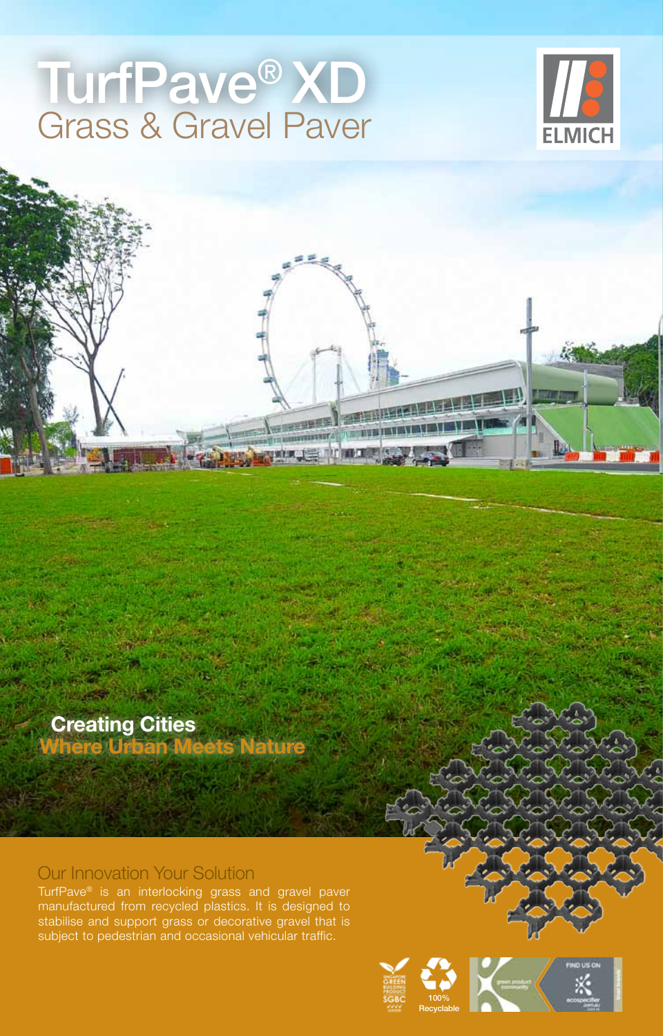# TurfPave® XD Grass & Gravel Paver





 **Creating Cities Where Urban Meets Nature**

## Our Innovation Your Solution

TurfPave® is an interlocking grass and gravel paver manufactured from recycled plastics. It is designed to stabilise and support grass or decorative gravel that is subject to pedestrian and occasional vehicular traffic.



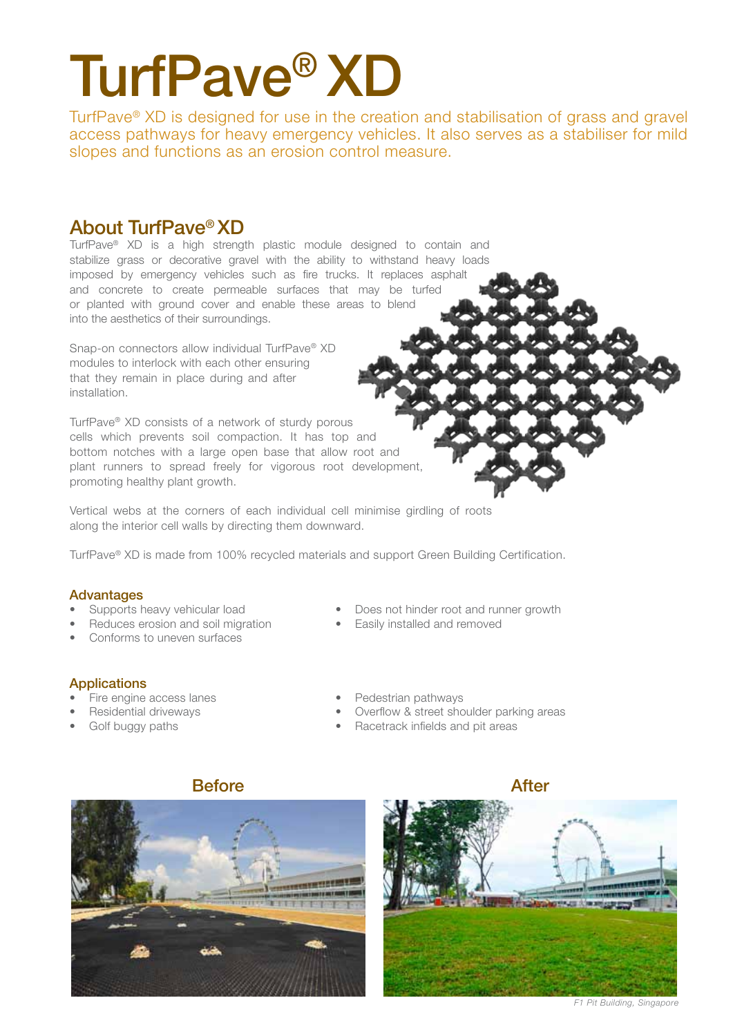# TurfPave® XD

TurfPave® XD is designed for use in the creation and stabilisation of grass and gravel access pathways for heavy emergency vehicles. It also serves as a stabiliser for mild slopes and functions as an erosion control measure.

## About TurfPave® XD

TurfPave® XD is a high strength plastic module designed to contain and stabilize grass or decorative gravel with the ability to withstand heavy loads imposed by emergency vehicles such as fire trucks. It replaces asphalt and concrete to create permeable surfaces that may be turfed or planted with ground cover and enable these areas to blend into the aesthetics of their surroundings.

Snap-on connectors allow individual TurfPave® XD modules to interlock with each other ensuring that they remain in place during and after installation.

TurfPave® XD consists of a network of sturdy porous cells which prevents soil compaction. It has top and bottom notches with a large open base that allow root and plant runners to spread freely for vigorous root development, promoting healthy plant growth.

Vertical webs at the corners of each individual cell minimise girdling of roots along the interior cell walls by directing them downward.

TurfPave® XD is made from 100% recycled materials and support Green Building Certification.

## Advantages

- 
- Reduces erosion and soil migration Easily installed and removed
- Conforms to uneven surfaces
- Supports heavy vehicular load Does not hinder root and runner growth
	-

## **Applications**

- Fire engine access lanes **•** Pedestrian pathways
- 
- 
- 
- Residential driveways  **Community Community** Presidential driveways **•** Overflow & street shoulder parking areas
- Golf buggy paths Racetrack infields and pit areas



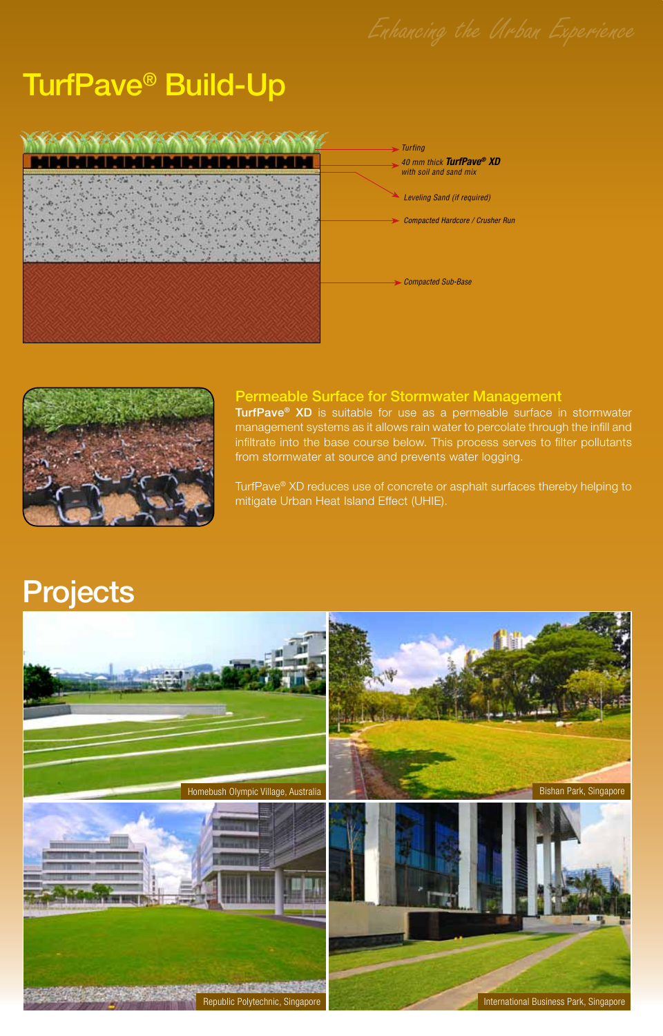## TurfPave® Build-Up





### Permeable Surface for Stormwater Management

TurfPave<sup>®</sup> XD is suitable for use as a permeable surface in stormwater management systems as it allows rain water to percolate through the infill and infiltrate into the base course below. This process serves to filter pollutants from stormwater at source and prevents water logging.

TurfPave® XD reduces use of concrete or asphalt surfaces thereby helping to mitigate Urban Heat Island Effect (UHIE).

## **Projects**